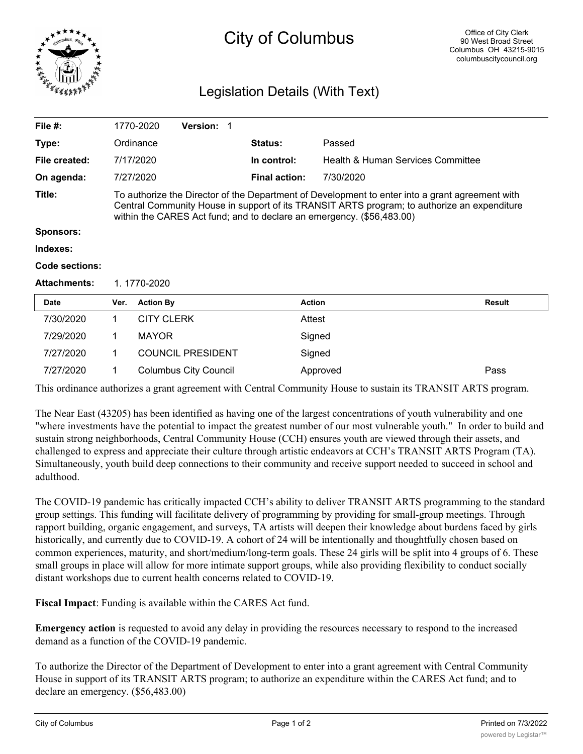

## City of Columbus

## Legislation Details (With Text)

| File $#$ :          |                                                                                                                                                                                                                                                                         | 1770-2020         | <b>Version: 1</b>            |                      |                                   |               |
|---------------------|-------------------------------------------------------------------------------------------------------------------------------------------------------------------------------------------------------------------------------------------------------------------------|-------------------|------------------------------|----------------------|-----------------------------------|---------------|
| Type:               |                                                                                                                                                                                                                                                                         | Ordinance         |                              | <b>Status:</b>       | Passed                            |               |
| File created:       |                                                                                                                                                                                                                                                                         | 7/17/2020         |                              | In control:          | Health & Human Services Committee |               |
| On agenda:          |                                                                                                                                                                                                                                                                         | 7/27/2020         |                              | <b>Final action:</b> | 7/30/2020                         |               |
| Title:              | To authorize the Director of the Department of Development to enter into a grant agreement with<br>Central Community House in support of its TRANSIT ARTS program; to authorize an expenditure<br>within the CARES Act fund; and to declare an emergency. (\$56,483.00) |                   |                              |                      |                                   |               |
| Sponsors:           |                                                                                                                                                                                                                                                                         |                   |                              |                      |                                   |               |
| Indexes:            |                                                                                                                                                                                                                                                                         |                   |                              |                      |                                   |               |
| Code sections:      |                                                                                                                                                                                                                                                                         |                   |                              |                      |                                   |               |
| <b>Attachments:</b> | 1.1770-2020                                                                                                                                                                                                                                                             |                   |                              |                      |                                   |               |
| <b>Date</b>         | Ver.                                                                                                                                                                                                                                                                    | <b>Action By</b>  |                              | <b>Action</b>        |                                   | <b>Result</b> |
| 7/30/2020           | 1                                                                                                                                                                                                                                                                       | <b>CITY CLERK</b> |                              | Attest               |                                   |               |
| 7/29/2020           | 1                                                                                                                                                                                                                                                                       | <b>MAYOR</b>      |                              |                      | Signed                            |               |
| 7/27/2020           | 1                                                                                                                                                                                                                                                                       |                   | <b>COUNCIL PRESIDENT</b>     |                      | Signed                            |               |
| 7/27/2020           | 1                                                                                                                                                                                                                                                                       |                   | <b>Columbus City Council</b> |                      | Approved                          | Pass          |

This ordinance authorizes a grant agreement with Central Community House to sustain its TRANSIT ARTS program.

The Near East (43205) has been identified as having one of the largest concentrations of youth vulnerability and one "where investments have the potential to impact the greatest number of our most vulnerable youth." In order to build and sustain strong neighborhoods, Central Community House (CCH) ensures youth are viewed through their assets, and challenged to express and appreciate their culture through artistic endeavors at CCH's TRANSIT ARTS Program (TA). Simultaneously, youth build deep connections to their community and receive support needed to succeed in school and adulthood.

The COVID-19 pandemic has critically impacted CCH's ability to deliver TRANSIT ARTS programming to the standard group settings. This funding will facilitate delivery of programming by providing for small-group meetings. Through rapport building, organic engagement, and surveys, TA artists will deepen their knowledge about burdens faced by girls historically, and currently due to COVID-19. A cohort of 24 will be intentionally and thoughtfully chosen based on common experiences, maturity, and short/medium/long-term goals. These 24 girls will be split into 4 groups of 6. These small groups in place will allow for more intimate support groups, while also providing flexibility to conduct socially distant workshops due to current health concerns related to COVID-19.

**Fiscal Impact**: Funding is available within the CARES Act fund.

**Emergency action** is requested to avoid any delay in providing the resources necessary to respond to the increased demand as a function of the COVID-19 pandemic.

To authorize the Director of the Department of Development to enter into a grant agreement with Central Community House in support of its TRANSIT ARTS program; to authorize an expenditure within the CARES Act fund; and to declare an emergency. (\$56,483.00)